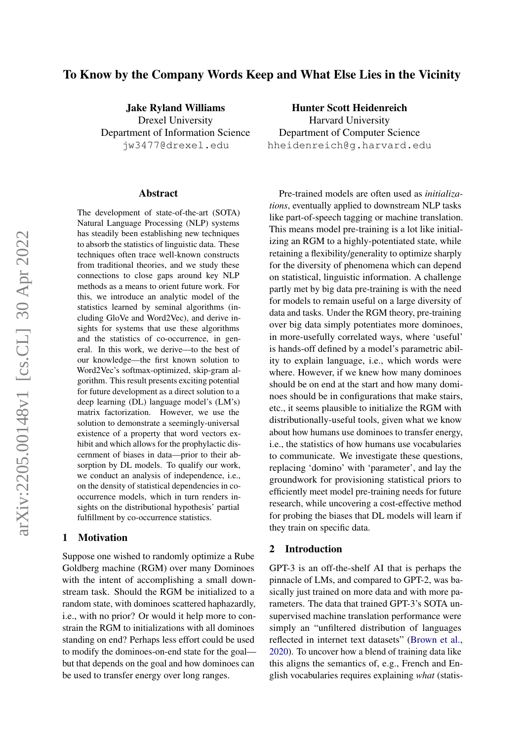# To Know by the Company Words Keep and What Else Lies in the Vicinity

Jake Ryland Williams Drexel University Department of Information Science jw3477@drexel.edu

#### Abstract

The development of state-of-the-art (SOTA) Natural Language Processing (NLP) systems has steadily been establishing new techniques to absorb the statistics of linguistic data. These techniques often trace well-known constructs from traditional theories, and we study these connections to close gaps around key NLP methods as a means to orient future work. For this, we introduce an analytic model of the statistics learned by seminal algorithms (including GloVe and Word2Vec), and derive insights for systems that use these algorithms and the statistics of co-occurrence, in general. In this work, we derive—to the best of our knowledge—the first known solution to Word2Vec's softmax-optimized, skip-gram algorithm. This result presents exciting potential for future development as a direct solution to a deep learning (DL) language model's (LM's) matrix factorization. However, we use the solution to demonstrate a seemingly-universal existence of a property that word vectors exhibit and which allows for the prophylactic discernment of biases in data—prior to their absorption by DL models. To qualify our work, we conduct an analysis of independence, i.e., on the density of statistical dependencies in cooccurrence models, which in turn renders insights on the distributional hypothesis' partial fulfillment by co-occurrence statistics.

#### 1 Motivation

Suppose one wished to randomly optimize a Rube Goldberg machine (RGM) over many Dominoes with the intent of accomplishing a small downstream task. Should the RGM be initialized to a random state, with dominoes scattered haphazardly, i.e., with no prior? Or would it help more to constrain the RGM to initializations with all dominoes standing on end? Perhaps less effort could be used to modify the dominoes-on-end state for the goal but that depends on the goal and how dominoes can be used to transfer energy over long ranges.

Hunter Scott Heidenreich Harvard University Department of Computer Science hheidenreich@g.harvard.edu

Pre-trained models are often used as *initializations*, eventually applied to downstream NLP tasks like part-of-speech tagging or machine translation. This means model pre-training is a lot like initializing an RGM to a highly-potentiated state, while retaining a flexibility/generality to optimize sharply for the diversity of phenomena which can depend on statistical, linguistic information. A challenge partly met by big data pre-training is with the need for models to remain useful on a large diversity of data and tasks. Under the RGM theory, pre-training over big data simply potentiates more dominoes, in more-usefully correlated ways, where 'useful' is hands-off defined by a model's parametric ability to explain language, i.e., which words were where. However, if we knew how many dominoes should be on end at the start and how many dominoes should be in configurations that make stairs, etc., it seems plausible to initialize the RGM with distributionally-useful tools, given what we know about how humans use dominoes to transfer energy, i.e., the statistics of how humans use vocabularies to communicate. We investigate these questions, replacing 'domino' with 'parameter', and lay the groundwork for provisioning statistical priors to efficiently meet model pre-training needs for future research, while uncovering a cost-effective method for probing the biases that DL models will learn if they train on specific data.

## 2 Introduction

GPT-3 is an off-the-shelf AI that is perhaps the pinnacle of LMs, and compared to GPT-2, was basically just trained on more data and with more parameters. The data that trained GPT-3's SOTA unsupervised machine translation performance were simply an "unfiltered distribution of languages reflected in internet text datasets" [\(Brown et al.,](#page-8-0) [2020\)](#page-8-0). To uncover how a blend of training data like this aligns the semantics of, e.g., French and English vocabularies requires explaining *what* (statis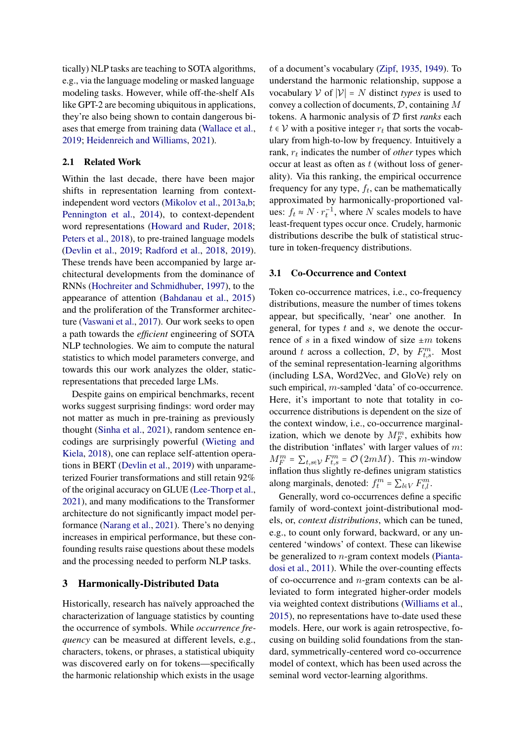tically) NLP tasks are teaching to SOTA algorithms, e.g., via the language modeling or masked language modeling tasks. However, while off-the-shelf AIs like GPT-2 are becoming ubiquitous in applications, they're also being shown to contain dangerous biases that emerge from training data [\(Wallace et al.,](#page-9-0) [2019;](#page-9-0) [Heidenreich and Williams,](#page-8-1) [2021\)](#page-8-1).

## 2.1 Related Work

Within the last decade, there have been major shifts in representation learning from contextindependent word vectors [\(Mikolov et al.,](#page-8-2) [2013a,](#page-8-2)[b;](#page-8-3) [Pennington et al.,](#page-9-1) [2014\)](#page-9-1), to context-dependent word representations [\(Howard and Ruder,](#page-8-4) [2018;](#page-8-4) [Peters et al.,](#page-9-2) [2018\)](#page-9-2), to pre-trained language models [\(Devlin et al.,](#page-8-5) [2019;](#page-8-5) [Radford et al.,](#page-9-3) [2018,](#page-9-3) [2019\)](#page-9-4). These trends have been accompanied by large architectural developments from the dominance of RNNs [\(Hochreiter and Schmidhuber,](#page-8-6) [1997\)](#page-8-6), to the appearance of attention [\(Bahdanau et al.,](#page-8-7) [2015\)](#page-8-7) and the proliferation of the Transformer architecture [\(Vaswani et al.,](#page-9-5) [2017\)](#page-9-5). Our work seeks to open a path towards the *efficient* engineering of SOTA NLP technologies. We aim to compute the natural statistics to which model parameters converge, and towards this our work analyzes the older, staticrepresentations that preceded large LMs.

Despite gains on empirical benchmarks, recent works suggest surprising findings: word order may not matter as much in pre-training as previously thought [\(Sinha et al.,](#page-9-6) [2021\)](#page-9-6), random sentence encodings are surprisingly powerful [\(Wieting and](#page-9-7) [Kiela,](#page-9-7) [2018\)](#page-9-7), one can replace self-attention operations in BERT [\(Devlin et al.,](#page-8-5) [2019\)](#page-8-5) with unparameterized Fourier transformations and still retain 92% of the original accuracy on GLUE [\(Lee-Thorp et al.,](#page-8-8) [2021\)](#page-8-8), and many modifications to the Transformer architecture do not significantly impact model performance [\(Narang et al.,](#page-9-8) [2021\)](#page-9-8). There's no denying increases in empirical performance, but these confounding results raise questions about these models and the processing needed to perform NLP tasks.

## 3 Harmonically-Distributed Data

Historically, research has naïvely approached the characterization of language statistics by counting the occurrence of symbols. While *occurrence frequency* can be measured at different levels, e.g., characters, tokens, or phrases, a statistical ubiquity was discovered early on for tokens—specifically the harmonic relationship which exists in the usage

of a document's vocabulary [\(Zipf,](#page-9-9) [1935,](#page-9-9) [1949\)](#page-9-10). To understand the harmonic relationship, suppose a vocabulary  $\mathcal V$  of  $|\mathcal V| = N$  distinct *types* is used to convey a collection of documents, D, containing M tokens. A harmonic analysis of D first *ranks* each  $t \in V$  with a positive integer  $r_t$  that sorts the vocabulary from high-to-low by frequency. Intuitively a rank,  $r_t$  indicates the number of *other* types which occur at least as often as  $t$  (without loss of generality). Via this ranking, the empirical occurrence frequency for any type,  $f_t$ , can be mathematically approximated by harmonically-proportioned values:  $f_t \approx N \cdot r_t^{-1}$ , where N scales models to have least-frequent types occur once. Crudely, harmonic distributions describe the bulk of statistical structure in token-frequency distributions.

### 3.1 Co-Occurrence and Context

Token co-occurrence matrices, i.e., co-frequency distributions, measure the number of times tokens appear, but specifically, 'near' one another. In general, for types t and s, we denote the occurrence of s in a fixed window of size  $\pm m$  tokens around t across a collection,  $D$ , by  $F_{t,s}^m$ . Most of the seminal representation-learning algorithms (including LSA, Word2Vec, and GloVe) rely on such empirical, *m*-sampled 'data' of co-occurrence. Here, it's important to note that totality in cooccurrence distributions is dependent on the size of the context window, i.e., co-occurrence marginalization, which we denote by  $M_F^m$ , exhibits how the distribution 'inflates' with larger values of  $m$ :  $M_F^m = \sum_{t,s \in \mathcal{V}} F_{t,s}^m = \mathcal{O}(2mM)$ . This m-window inflation thus slightly re-defines unigram statistics along marginals, denoted:  $f_t^m = \sum_{l \in V} F_{t,l}^m$ .

Generally, word co-occurrences define a specific family of word-context joint-distributional models, or, *context distributions*, which can be tuned, e.g., to count only forward, backward, or any uncentered 'windows' of context. These can likewise be generalized to n-gram context models [\(Pianta](#page-9-11)[dosi et al.,](#page-9-11) [2011\)](#page-9-11). While the over-counting effects of co-occurrence and n-gram contexts can be alleviated to form integrated higher-order models via weighted context distributions [\(Williams et al.,](#page-9-12) [2015\)](#page-9-12), no representations have to-date used these models. Here, our work is again retrospective, focusing on building solid foundations from the standard, symmetrically-centered word co-occurrence model of context, which has been used across the seminal word vector-learning algorithms.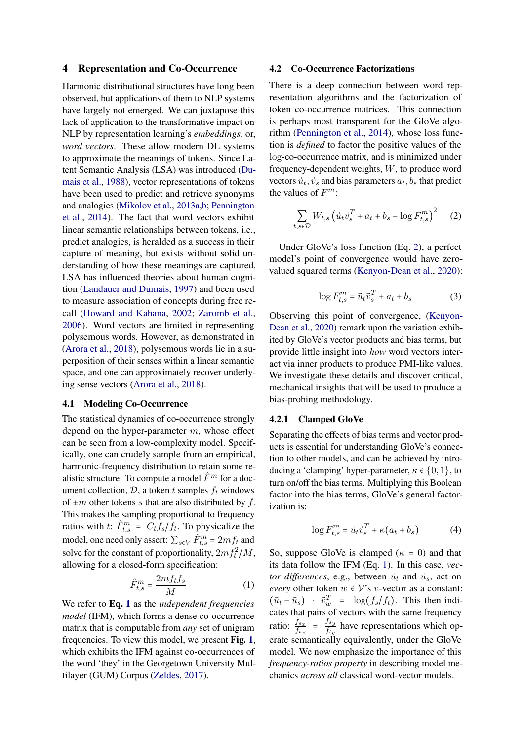### 4 Representation and Co-Occurrence

Harmonic distributional structures have long been observed, but applications of them to NLP systems have largely not emerged. We can juxtapose this lack of application to the transformative impact on NLP by representation learning's *embeddings*, or, *word vectors*. These allow modern DL systems to approximate the meanings of tokens. Since Latent Semantic Analysis (LSA) was introduced [\(Du](#page-8-9)[mais et al.,](#page-8-9) [1988\)](#page-8-9), vector representations of tokens have been used to predict and retrieve synonyms and analogies [\(Mikolov et al.,](#page-8-2) [2013a](#page-8-2)[,b;](#page-8-3) [Pennington](#page-9-1) [et al.,](#page-9-1) [2014\)](#page-9-1). The fact that word vectors exhibit linear semantic relationships between tokens, i.e., predict analogies, is heralded as a success in their capture of meaning, but exists without solid understanding of how these meanings are captured. LSA has influenced theories about human cognition [\(Landauer and Dumais,](#page-8-10) [1997\)](#page-8-10) and been used to measure association of concepts during free recall [\(Howard and Kahana,](#page-8-11) [2002;](#page-8-11) [Zaromb et al.,](#page-9-13) [2006\)](#page-9-13). Word vectors are limited in representing polysemous words. However, as demonstrated in [\(Arora et al.,](#page-8-12) [2018\)](#page-8-12), polysemous words lie in a superposition of their senses within a linear semantic space, and one can approximately recover underlying sense vectors [\(Arora et al.,](#page-8-12) [2018\)](#page-8-12).

#### 4.1 Modeling Co-Occurrence

The statistical dynamics of co-occurrence strongly depend on the hyper-parameter m, whose effect can be seen from a low-complexity model. Specifically, one can crudely sample from an empirical, harmonic-frequency distribution to retain some realistic structure. To compute a model  $\hat{F}^m$  for a document collection,  $D$ , a token t samples  $f_t$  windows of  $\pm m$  other tokens s that are also distributed by f. This makes the sampling proportional to frequency ratios with t:  $\hat{F}_{t,s}^m = C_t f_s / f_t$ . To physicalize the model, one need only assert:  $\sum_{s \in V} \hat{F}_{t,s}^m = 2 m f_t$  and solve for the constant of proportionality,  $2mf_t^2/M$ , allowing for a closed-form specification:

$$
\hat{F}_{t,s}^m = \frac{2m f_t f_s}{M} \tag{1}
$$

We refer to Eq. [1](#page-2-0) as the *independent frequencies model* (IFM), which forms a dense co-occurrence matrix that is computable from *any* set of unigram frequencies. To view this model, we present Fig. [1](#page-3-0), which exhibits the IFM against co-occurrences of the word 'they' in the Georgetown University Multilayer (GUM) Corpus [\(Zeldes,](#page-9-14) [2017\)](#page-9-14).

#### 4.2 Co-Occurrence Factorizations

There is a deep connection between word representation algorithms and the factorization of token co-occurrence matrices. This connection is perhaps most transparent for the GloVe algorithm [\(Pennington et al.,](#page-9-1) [2014\)](#page-9-1), whose loss function is *defined* to factor the positive values of the log-co-occurrence matrix, and is minimized under frequency-dependent weights, W, to produce word vectors  $\vec{u}_t$ ,  $\vec{v}_s$  and bias parameters  $a_t$ ,  $b_s$  that predict the values of  $F^m$ :

<span id="page-2-1"></span>
$$
\sum_{t,s \in \mathcal{D}} W_{t,s} \left( \vec{u}_t \vec{v}_s^T + a_t + b_s - \log F_{t,s}^m \right)^2 \tag{2}
$$

Under GloVe's loss function (Eq. [2\)](#page-2-1), a perfect model's point of convergence would have zerovalued squared terms [\(Kenyon-Dean et al.,](#page-8-13) [2020\)](#page-8-13):

$$
\log F_{t,s}^m = \vec{u}_t \vec{v}_s^T + a_t + b_s \tag{3}
$$

Observing this point of convergence, [\(Kenyon-](#page-8-13)[Dean et al.,](#page-8-13) [2020\)](#page-8-13) remark upon the variation exhibited by GloVe's vector products and bias terms, but provide little insight into *how* word vectors interact via inner products to produce PMI-like values. We investigate these details and discover critical, mechanical insights that will be used to produce a bias-probing methodology.

## 4.2.1 Clamped GloVe

Separating the effects of bias terms and vector products is essential for understanding GloVe's connection to other models, and can be achieved by introducing a 'clamping' hyper-parameter,  $\kappa \in \{0, 1\}$ , to turn on/off the bias terms. Multiplying this Boolean factor into the bias terms, GloVe's general factorization is:

$$
\log F_{t,s}^m = \vec{u}_t \vec{v}_s^T + \kappa (a_t + b_s) \tag{4}
$$

<span id="page-2-0"></span>So, suppose GloVe is clamped ( $\kappa = 0$ ) and that its data follow the IFM (Eq. [1\)](#page-2-0). In this case, *vector differences*, e.g., between  $\vec{u}_t$  and  $\vec{u}_s$ , act on *every* other token  $w \in V$ 's *v*-vector as a constant:  $(\vec{u}_t - \vec{u}_s)$  ·  $\vec{v}_w^T = \log(f_s/f_t)$ . This then indicates that pairs of vectors with the same frequency ratio:  $\frac{f_{s_x}}{f_{t_x}} = \frac{f_{s_y}}{f_{t_y}}$  $\frac{f_{sy}}{f_{ty}}$  have representations which operate semantically equivalently, under the GloVe model. We now emphasize the importance of this *frequency-ratios property* in describing model mechanics *across all* classical word-vector models.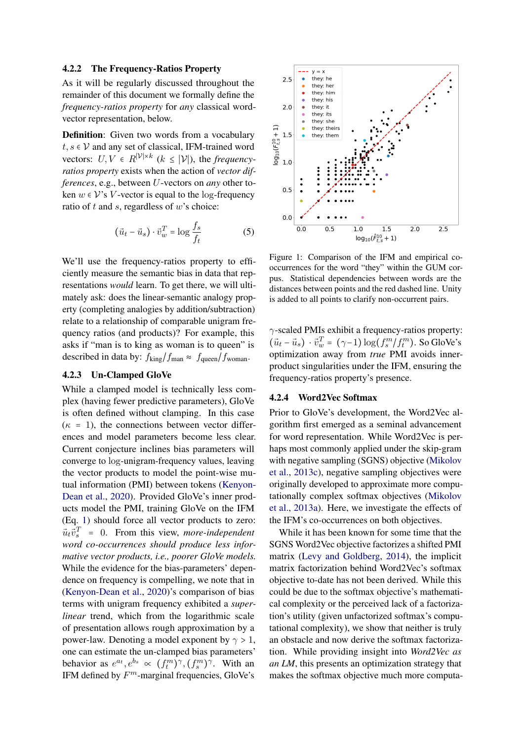#### 4.2.2 The Frequency-Ratios Property

As it will be regularly discussed throughout the remainder of this document we formally define the *frequency-ratios property* for *any* classical wordvector representation, below.

Definition: Given two words from a vocabulary  $t, s \in V$  and any set of classical, IFM-trained word vectors:  $U, V \in R^{|\mathcal{V}| \times k}$  ( $k \leq |\mathcal{V}|$ ), the *frequencyratios property* exists when the action of *vector differences*, e.g., between U-vectors on *any* other token  $w \in V$ 's V-vector is equal to the log-frequency ratio of  $t$  and  $s$ , regardless of  $w$ 's choice:

$$
(\vec{u}_t - \vec{u}_s) \cdot \vec{v}_w^T = \log \frac{f_s}{f_t}
$$
 (5)

We'll use the frequency-ratios property to efficiently measure the semantic bias in data that representations *would* learn. To get there, we will ultimately ask: does the linear-semantic analogy property (completing analogies by addition/subtraction) relate to a relationship of comparable unigram frequency ratios (and products)? For example, this asks if "man is to king as woman is to queen" is described in data by:  $f_{\text{king}}/f_{\text{man}} \approx f_{\text{queen}}/f_{\text{woman}}$ .

#### 4.2.3 Un-Clamped GloVe

While a clamped model is technically less complex (having fewer predictive parameters), GloVe is often defined without clamping. In this case  $(\kappa = 1)$ , the connections between vector differences and model parameters become less clear. Current conjecture inclines bias parameters will converge to log-unigram-frequency values, leaving the vector products to model the point-wise mutual information (PMI) between tokens [\(Kenyon-](#page-8-13)[Dean et al.,](#page-8-13) [2020\)](#page-8-13). Provided GloVe's inner products model the PMI, training GloVe on the IFM (Eq. [1\)](#page-2-0) should force all vector products to zero:  $\vec{u}_t \vec{v}_s^T = 0$ . From this view, *more-independent word co-occurrences should produce less informative vector products, i.e., poorer GloVe models.* While the evidence for the bias-parameters' dependence on frequency is compelling, we note that in [\(Kenyon-Dean et al.,](#page-8-13) [2020\)](#page-8-13)'s comparison of bias terms with unigram frequency exhibited a *superlinear* trend, which from the logarithmic scale of presentation allows rough approximation by a power-law. Denoting a model exponent by  $\gamma > 1$ , one can estimate the un-clamped bias parameters' behavior as  $e^{a_t}, e^{b_s} \propto (f_t^m)^\gamma, (f_s^m)^\gamma$ . With an IFM defined by  $F^m$ -marginal frequencies, GloVe's

<span id="page-3-0"></span>

Figure 1: Comparison of the IFM and empirical cooccurrences for the word "they" within the GUM corpus. Statistical dependencies between words are the distances between points and the red dashed line. Unity is added to all points to clarify non-occurrent pairs.

γ-scaled PMIs exhibit a frequency-ratios property:  $(\vec{u}_t - \vec{u}_s) \cdot \vec{v}_w^T = (\gamma - 1) \log(f_s^m / f_t^m)$ . So GloVe's optimization away from *true* PMI avoids innerproduct singularities under the IFM, ensuring the frequency-ratios property's presence.

## 4.2.4 Word2Vec Softmax

Prior to GloVe's development, the Word2Vec algorithm first emerged as a seminal advancement for word representation. While Word2Vec is perhaps most commonly applied under the skip-gram with negative sampling (SGNS) objective [\(Mikolov](#page-9-15) [et al.,](#page-9-15) [2013c\)](#page-9-15), negative sampling objectives were originally developed to approximate more computationally complex softmax objectives [\(Mikolov](#page-8-2) [et al.,](#page-8-2) [2013a\)](#page-8-2). Here, we investigate the effects of the IFM's co-occurrences on both objectives.

While it has been known for some time that the SGNS Word2Vec objective factorizes a shifted PMI matrix [\(Levy and Goldberg,](#page-8-14) [2014\)](#page-8-14), the implicit matrix factorization behind Word2Vec's softmax objective to-date has not been derived. While this could be due to the softmax objective's mathematical complexity or the perceived lack of a factorization's utility (given unfactorized softmax's computational complexity), we show that neither is truly an obstacle and now derive the softmax factorization. While providing insight into *Word2Vec as an LM*, this presents an optimization strategy that makes the softmax objective much more computa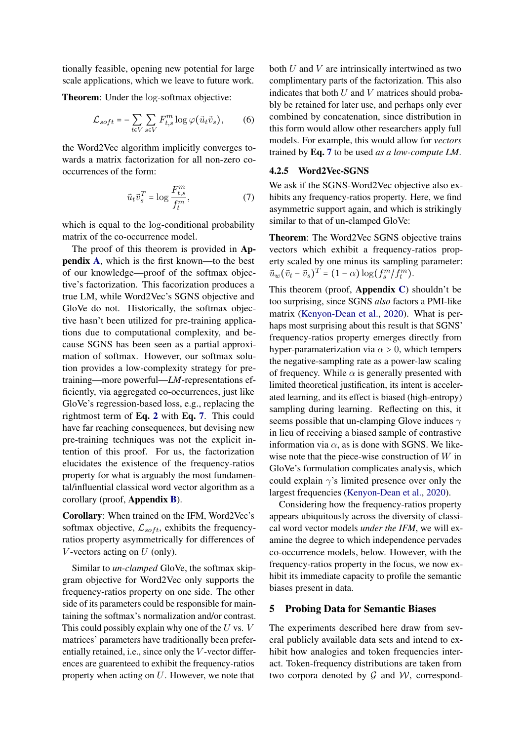tionally feasible, opening new potential for large scale applications, which we leave to future work.

Theorem: Under the log-softmax objective:

$$
\mathcal{L}_{soft} = -\sum_{t \in V} \sum_{s \in V} F_{t,s}^{m} \log \varphi(\vec{u}_t \vec{v}_s), \qquad (6)
$$

the Word2Vec algorithm implicitly converges towards a matrix factorization for all non-zero cooccurrences of the form:

<span id="page-4-0"></span>
$$
\vec{u}_t \vec{v}_s^T = \log \frac{F_{t,s}^m}{f_t^m},\tag{7}
$$

which is equal to the log-conditional probability matrix of the co-occurrence model.

The proof of this theorem is provided in Appendix [A](#page-9-16), which is the first known—to the best of our knowledge—proof of the softmax objective's factorization. This facorization produces a true LM, while Word2Vec's SGNS objective and GloVe do not. Historically, the softmax objective hasn't been utilized for pre-training applications due to computational complexity, and because SGNS has been seen as a partial approximation of softmax. However, our softmax solution provides a low-complexity strategy for pretraining—more powerful—*LM*-representations efficiently, via aggregated co-occurrences, just like GloVe's regression-based loss, e.g., replacing the rightmost term of Eq. [2](#page-2-1) with Eq. [7](#page-4-0). This could have far reaching consequences, but devising new pre-training techniques was not the explicit intention of this proof. For us, the factorization elucidates the existence of the frequency-ratios property for what is arguably the most fundamental/influential classical word vector algorithm as a corollary (proof, Appendix [B](#page-10-0)).

Corollary: When trained on the IFM, Word2Vec's softmax objective,  $\mathcal{L}_{soft}$ , exhibits the frequencyratios property asymmetrically for differences of V-vectors acting on  $U$  (only).

Similar to *un-clamped* GloVe, the softmax skipgram objective for Word2Vec only supports the frequency-ratios property on one side. The other side of its parameters could be responsible for maintaining the softmax's normalization and/or contrast. This could possibly explain why one of the  $U$  vs.  $V$ matrices' parameters have traditionally been preferentially retained, i.e., since only the V -vector differences are guarenteed to exhibit the frequency-ratios property when acting on  $U$ . However, we note that

both  $U$  and  $V$  are intrinsically intertwined as two complimentary parts of the factorization. This also indicates that both  $U$  and  $V$  matrices should probably be retained for later use, and perhaps only ever combined by concatenation, since distribution in this form would allow other researchers apply full models. For example, this would allow for *vectors* trained by Eq. [7](#page-4-0) to be used *as a low-compute LM*.

## 4.2.5 Word2Vec-SGNS

We ask if the SGNS-Word2Vec objective also exhibits any frequency-ratios property. Here, we find asymmetric support again, and which is strikingly similar to that of un-clamped GloVe:

Theorem: The Word2Vec SGNS objective trains vectors which exhibit a frequency-ratios property scaled by one minus its sampling parameter:  $\vec{u}_w(\vec{v}_t - \vec{v}_s)^T = (1 - \alpha) \log(f_s^m / f_t^m).$ 

This theorem (proof, Appendix [C](#page-10-1)) shouldn't be too surprising, since SGNS *also* factors a PMI-like matrix [\(Kenyon-Dean et al.,](#page-8-13) [2020\)](#page-8-13). What is perhaps most surprising about this result is that SGNS' frequency-ratios property emerges directly from hyper-paramaterization via  $\alpha > 0$ , which tempers the negative-sampling rate as a power-law scaling of frequency. While  $\alpha$  is generally presented with limited theoretical justification, its intent is accelerated learning, and its effect is biased (high-entropy) sampling during learning. Reflecting on this, it seems possible that un-clamping Glove induces  $\gamma$ in lieu of receiving a biased sample of contrastive information via  $\alpha$ , as is done with SGNS. We likewise note that the piece-wise construction of W in GloVe's formulation complicates analysis, which could explain  $\gamma$ 's limited presence over only the largest frequencies [\(Kenyon-Dean et al.,](#page-8-13) [2020\)](#page-8-13).

Considering how the frequency-ratios property appears ubiquitously across the diversity of classical word vector models *under the IFM*, we will examine the degree to which independence pervades co-occurrence models, below. However, with the frequency-ratios property in the focus, we now exhibit its immediate capacity to profile the semantic biases present in data.

#### 5 Probing Data for Semantic Biases

The experiments described here draw from several publicly available data sets and intend to exhibit how analogies and token frequencies interact. Token-frequency distributions are taken from two corpora denoted by  $G$  and  $W$ , correspond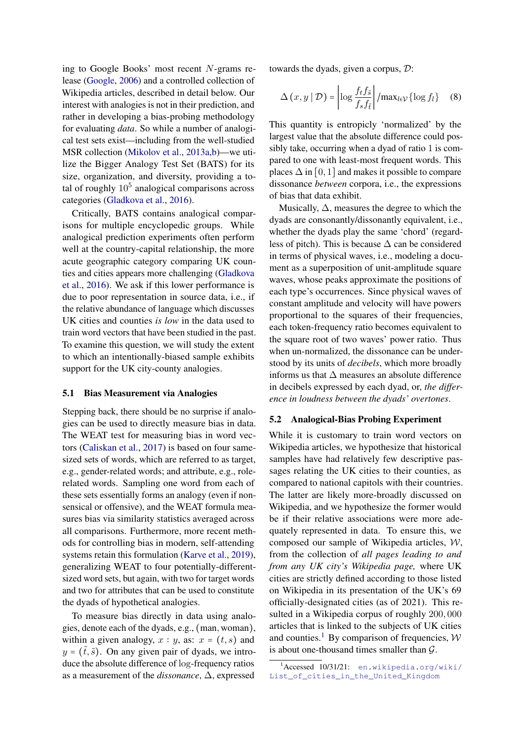ing to Google Books' most recent N-grams release [\(Google,](#page-8-15) [2006\)](#page-8-15) and a controlled collection of Wikipedia articles, described in detail below. Our interest with analogies is not in their prediction, and rather in developing a bias-probing methodology for evaluating *data*. So while a number of analogical test sets exist—including from the well-studied MSR collection [\(Mikolov et al.,](#page-8-2) [2013a,](#page-8-2)[b\)](#page-8-3)—we utilize the Bigger Analogy Test Set (BATS) for its size, organization, and diversity, providing a total of roughly  $10^5$  analogical comparisons across categories [\(Gladkova et al.,](#page-8-16) [2016\)](#page-8-16).

Critically, BATS contains analogical comparisons for multiple encyclopedic groups. While analogical prediction experiments often perform well at the country-capital relationship, the more acute geographic category comparing UK counties and cities appears more challenging [\(Gladkova](#page-8-16) [et al.,](#page-8-16) [2016\)](#page-8-16). We ask if this lower performance is due to poor representation in source data, i.e., if the relative abundance of language which discusses UK cities and counties *is low* in the data used to train word vectors that have been studied in the past. To examine this question, we will study the extent to which an intentionally-biased sample exhibits support for the UK city-county analogies.

#### 5.1 Bias Measurement via Analogies

Stepping back, there should be no surprise if analogies can be used to directly measure bias in data. The WEAT test for measuring bias in word vectors [\(Caliskan et al.,](#page-8-17) [2017\)](#page-8-17) is based on four samesized sets of words, which are referred to as target, e.g., gender-related words; and attribute, e.g., rolerelated words. Sampling one word from each of these sets essentially forms an analogy (even if nonsensical or offensive), and the WEAT formula measures bias via similarity statistics averaged across all comparisons. Furthermore, more recent methods for controlling bias in modern, self-attending systems retain this formulation [\(Karve et al.,](#page-8-18) [2019\)](#page-8-18), generalizing WEAT to four potentially-differentsized word sets, but again, with two for target words and two for attributes that can be used to constitute the dyads of hypothetical analogies.

To measure bias directly in data using analogies, denote each of the dyads, e.g., (man, woman), within a given analogy,  $x : y$ , as:  $x = (t, s)$  and  $y = (t, \tilde{s})$ . On any given pair of dyads, we introduce the absolute difference of log-frequency ratios as a measurement of the *dissonance*, ∆, expressed

towards the dyads, given a corpus, D:

$$
\Delta(x, y \mid \mathcal{D}) = \left| \log \frac{f_t f_{\tilde{s}}}{f_s f_{\tilde{t}}} \right| / \max_{l \in \mathcal{V}} \{ \log f_l \} \quad (8)
$$

This quantity is entropicly 'normalized' by the largest value that the absolute difference could possibly take, occurring when a dyad of ratio 1 is compared to one with least-most frequent words. This places  $\Delta$  in [0, 1] and makes it possible to compare dissonance *between* corpora, i.e., the expressions of bias that data exhibit.

Musically,  $\Delta$ , measures the degree to which the dyads are consonantly/dissonantly equivalent, i.e., whether the dyads play the same 'chord' (regardless of pitch). This is because  $\Delta$  can be considered in terms of physical waves, i.e., modeling a document as a superposition of unit-amplitude square waves, whose peaks approximate the positions of each type's occurrences. Since physical waves of constant amplitude and velocity will have powers proportional to the squares of their frequencies, each token-frequency ratio becomes equivalent to the square root of two waves' power ratio. Thus when un-normalized, the dissonance can be understood by its units of *decibels*, which more broadly informs us that  $\Delta$  measures an absolute difference in decibels expressed by each dyad, or, *the difference in loudness between the dyads' overtones*.

#### 5.2 Analogical-Bias Probing Experiment

While it is customary to train word vectors on Wikipedia articles, we hypothesize that historical samples have had relatively few descriptive passages relating the UK cities to their counties, as compared to national capitols with their countries. The latter are likely more-broadly discussed on Wikipedia, and we hypothesize the former would be if their relative associations were more adequately represented in data. To ensure this, we composed our sample of Wikipedia articles, W, from the collection of *all pages leading to and from any UK city's Wikipedia page,* where UK cities are strictly defined according to those listed on Wikipedia in its presentation of the UK's 69 officially-designated cities (as of 2021). This resulted in a Wikipedia corpus of roughly 200, 000 articles that is linked to the subjects of UK cities and counties.<sup>[1](#page-5-0)</sup> By comparison of frequencies,  $W$ is about one-thousand times smaller than  $G$ .

<span id="page-5-0"></span><sup>1</sup>Accessed 10/31/21: [en.wikipedia.org/wiki/](en.wikipedia.org/wiki/List_of_cities_in_the_United_Kingdom) [List\\_of\\_cities\\_in\\_the\\_United\\_Kingdom](en.wikipedia.org/wiki/List_of_cities_in_the_United_Kingdom)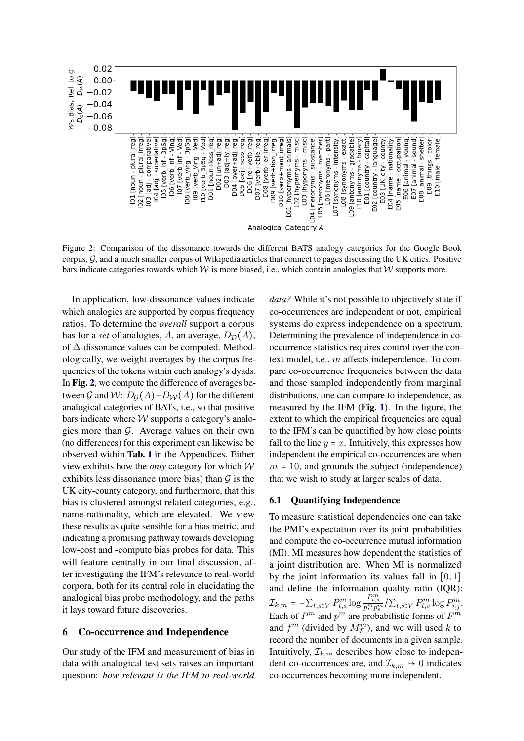<span id="page-6-0"></span>

Figure 2: Comparison of the dissonance towards the different BATS analogy categories for the Google Book corpus,  $G$ , and a much smaller corpus of Wikipedia articles that connect to pages discussing the UK cities. Positive bars indicate categories towards which  $W$  is more biased, i.e., which contain analogies that  $W$  supports more.

In application, low-dissonance values indicate which analogies are supported by corpus frequency ratios. To determine the *overall* support a corpus has for a *set* of analogies, A, an average,  $D_{\mathcal{D}}(A)$ , of ∆-dissonance values can be computed. Methodologically, we weight averages by the corpus frequencies of the tokens within each analogy's dyads. In Fig. [2](#page-6-0), we compute the difference of averages between G and W:  $D_G(A) - D_W(A)$  for the different analogical categories of BATs, i.e., so that positive bars indicate where  $W$  supports a category's analogies more than  $G$ . Average values on their own (no differences) for this experiment can likewise be observed within Tab. [1](#page-11-0) in the Appendices. Either view exhibits how the *only* category for which W exhibits less dissonance (more bias) than  $G$  is the UK city-county category, and furthermore, that this bias is clustered amongst related categories, e.g., name-nationality, which are elevated. We view these results as quite sensible for a bias metric, and indicating a promising pathway towards developing low-cost and -compute bias probes for data. This will feature centrally in our final discussion, after investigating the IFM's relevance to real-world corpora, both for its central role in elucidating the analogical bias probe methodology, and the paths it lays toward future discoveries.

#### 6 Co-occurrence and Independence

Our study of the IFM and measurement of bias in data with analogical test sets raises an important question: *how relevant is the IFM to real-world* *data?* While it's not possible to objectively state if co-occurrences are independent or not, empirical systems do express independence on a spectrum. Determining the prevalence of independence in cooccurrence statistics requires control over the context model, i.e., m affects independence. To compare co-occurrence frequencies between the data and those sampled independently from marginal distributions, one can compare to independence, as measured by the IFM (Fig. [1](#page-3-0)). In the figure, the extent to which the empirical frequencies are equal to the IFM's can be quantified by how close points fall to the line  $y = x$ . Intuitively, this expresses how independent the empirical co-occurrences are when  $m = 10$ , and grounds the subject (independence) that we wish to study at larger scales of data.

#### 6.1 Quantifying Independence

To measure statistical dependencies one can take the PMI's expectation over its joint probabilities and compute the co-occurrence mutual information (MI). MI measures how dependent the statistics of a joint distribution are. When MI is normalized by the joint information its values fall in  $[0, 1]$ and define the information quality ratio (IQR):  $\mathcal{I}_{k,m} = -\sum_{t,s \in V} P_{t,s}^{m} \log \frac{P_{t,s}^{m}}{p_t^m p_s^m} / \sum_{t,s \in V} P_{t,v}^{m} \log P_{i,j}^{m}$ Each of  $P^m$  and  $p^m$  are probabilistic forms of  $F^m$ and  $f^m$  (divided by  $M_F^m$ ), and we will used k to record the number of documents in a given sample. Intuitively,  $\mathcal{I}_{k,m}$  describes how close to independent co-occurrences are, and  $\mathcal{I}_{k,m} \to 0$  indicates co-occurrences becoming more independent.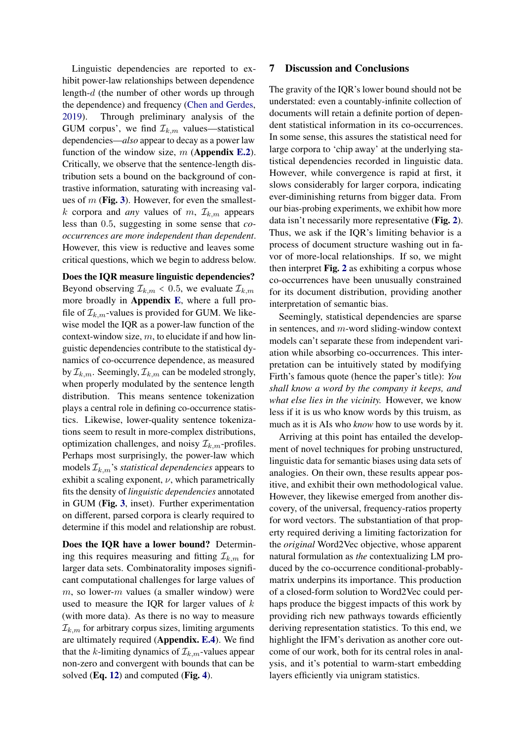Linguistic dependencies are reported to exhibit power-law relationships between dependence length-d (the number of other words up through the dependence) and frequency [\(Chen and Gerdes,](#page-8-19) [2019\)](#page-8-19). Through preliminary analysis of the GUM corpus', we find  $\mathcal{I}_{k,m}$  values—statistical dependencies—*also* appear to decay as a power law function of the window size,  $m$  (Appendix [E.2](#page-12-0)). Critically, we observe that the sentence-length distribution sets a bound on the background of contrastive information, saturating with increasing values of  $m$  (Fig. [3](#page-12-1)). However, for even the smallestk corpora and *any* values of m,  $\mathcal{I}_{k,m}$  appears less than 0.5, suggesting in some sense that *cooccurrences are more independent than dependent*. However, this view is reductive and leaves some critical questions, which we begin to address below.

Does the IQR measure linguistic dependencies? Beyond observing  $\mathcal{I}_{k,m} < 0.5$ , we evaluate  $\mathcal{I}_{k,m}$ more broadly in Appendix [E](#page-12-2), where a full profile of  $\mathcal{I}_{k,m}$ -values is provided for GUM. We likewise model the IQR as a power-law function of the context-window size,  $m$ , to elucidate if and how linguistic dependencies contribute to the statistical dynamics of co-occurrence dependence, as measured by  $\mathcal{I}_{k,m}$ . Seemingly,  $\mathcal{I}_{k,m}$  can be modeled strongly, when properly modulated by the sentence length distribution. This means sentence tokenization plays a central role in defining co-occurrence statistics. Likewise, lower-quality sentence tokenizations seem to result in more-complex distributions, optimization challenges, and noisy  $\mathcal{I}_{k,m}$ -profiles. Perhaps most surprisingly, the power-law which models  $\mathcal{I}_{k,m}$ 's *statistical dependencies* appears to exhibit a scaling exponent,  $\nu$ , which parametrically fits the density of *linguistic dependencies* annotated in GUM (Fig. [3](#page-12-1), inset). Further experimentation on different, parsed corpora is clearly required to determine if this model and relationship are robust.

Does the IQR have a lower bound? Determining this requires measuring and fitting  $\mathcal{I}_{k,m}$  for larger data sets. Combinatorality imposes significant computational challenges for large values of  $m$ , so lower- $m$  values (a smaller window) were used to measure the IQR for larger values of  $k$ (with more data). As there is no way to measure  $\mathcal{I}_{k,m}$  for arbitrary corpus sizes, limiting arguments are ultimately required (Appendix. [E.4](#page-13-0)). We find that the k-limiting dynamics of  $\mathcal{I}_{k,m}$ -values appear non-zero and convergent with bounds that can be solved (Eq. [12](#page-15-0)) and computed (Fig. [4](#page-14-0)).

## 7 Discussion and Conclusions

The gravity of the IQR's lower bound should not be understated: even a countably-infinite collection of documents will retain a definite portion of dependent statistical information in its co-occurrences. In some sense, this assures the statistical need for large corpora to 'chip away' at the underlying statistical dependencies recorded in linguistic data. However, while convergence is rapid at first, it slows considerably for larger corpora, indicating ever-diminishing returns from bigger data. From our bias-probing experiments, we exhibit how more data isn't necessarily more representative (Fig. [2](#page-6-0)). Thus, we ask if the IQR's limiting behavior is a process of document structure washing out in favor of more-local relationships. If so, we might then interpret Fig. [2](#page-6-0) as exhibiting a corpus whose co-occurrences have been unusually constrained for its document distribution, providing another interpretation of semantic bias.

Seemingly, statistical dependencies are sparse in sentences, and m-word sliding-window context models can't separate these from independent variation while absorbing co-occurrences. This interpretation can be intuitively stated by modifying Firth's famous quote (hence the paper's title): *You shall know a word by the company it keeps, and what else lies in the vicinity.* However, we know less if it is us who know words by this truism, as much as it is AIs who *know* how to use words by it.

Arriving at this point has entailed the development of novel techniques for probing unstructured, linguistic data for semantic biases using data sets of analogies. On their own, these results appear positive, and exhibit their own methodological value. However, they likewise emerged from another discovery, of the universal, frequency-ratios property for word vectors. The substantiation of that property required deriving a limiting factorization for the *original* Word2Vec objective, whose apparent natural formulation as *the* contextualizing LM produced by the co-occurrence conditional-probablymatrix underpins its importance. This production of a closed-form solution to Word2Vec could perhaps produce the biggest impacts of this work by providing rich new pathways towards efficiently deriving representation statistics. To this end, we highlight the IFM's derivation as another core outcome of our work, both for its central roles in analysis, and it's potential to warm-start embedding layers efficiently via unigram statistics.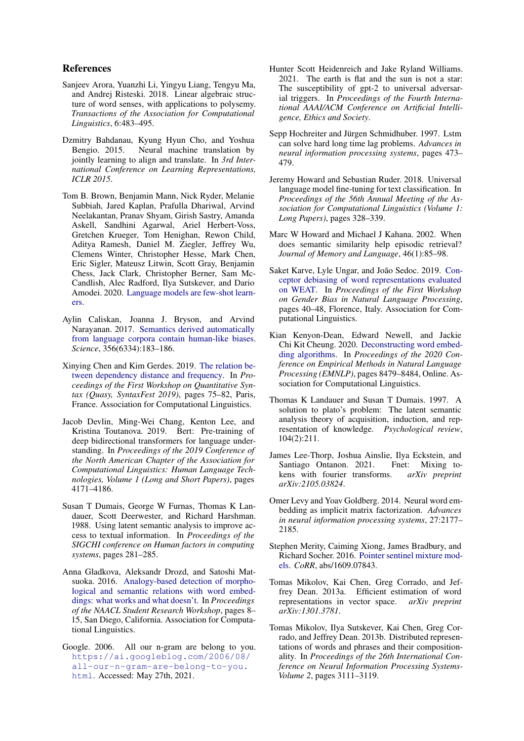## References

- <span id="page-8-12"></span>Sanjeev Arora, Yuanzhi Li, Yingyu Liang, Tengyu Ma, and Andrej Risteski. 2018. Linear algebraic structure of word senses, with applications to polysemy. *Transactions of the Association for Computational Linguistics*, 6:483–495.
- <span id="page-8-7"></span>Dzmitry Bahdanau, Kyung Hyun Cho, and Yoshua Bengio. 2015. Neural machine translation by jointly learning to align and translate. In *3rd International Conference on Learning Representations, ICLR 2015*.
- <span id="page-8-0"></span>Tom B. Brown, Benjamin Mann, Nick Ryder, Melanie Subbiah, Jared Kaplan, Prafulla Dhariwal, Arvind Neelakantan, Pranav Shyam, Girish Sastry, Amanda Askell, Sandhini Agarwal, Ariel Herbert-Voss, Gretchen Krueger, Tom Henighan, Rewon Child, Aditya Ramesh, Daniel M. Ziegler, Jeffrey Wu, Clemens Winter, Christopher Hesse, Mark Chen, Eric Sigler, Mateusz Litwin, Scott Gray, Benjamin Chess, Jack Clark, Christopher Berner, Sam Mc-Candlish, Alec Radford, Ilya Sutskever, and Dario Amodei. 2020. [Language models are few-shot learn](http://arxiv.org/abs/2005.14165)[ers.](http://arxiv.org/abs/2005.14165)
- <span id="page-8-17"></span>Aylin Caliskan, Joanna J. Bryson, and Arvind Narayanan. 2017. [Semantics derived automatically](https://doi.org/10.1126/science.aal4230) [from language corpora contain human-like biases.](https://doi.org/10.1126/science.aal4230) *Science*, 356(6334):183–186.
- <span id="page-8-19"></span>Xinying Chen and Kim Gerdes. 2019. [The relation be](https://doi.org/10.18653/v1/W19-7909)[tween dependency distance and frequency.](https://doi.org/10.18653/v1/W19-7909) In *Proceedings of the First Workshop on Quantitative Syntax (Quasy, SyntaxFest 2019)*, pages 75–82, Paris, France. Association for Computational Linguistics.
- <span id="page-8-5"></span>Jacob Devlin, Ming-Wei Chang, Kenton Lee, and Kristina Toutanova. 2019. Bert: Pre-training of deep bidirectional transformers for language understanding. In *Proceedings of the 2019 Conference of the North American Chapter of the Association for Computational Linguistics: Human Language Technologies, Volume 1 (Long and Short Papers)*, pages 4171–4186.
- <span id="page-8-9"></span>Susan T Dumais, George W Furnas, Thomas K Landauer, Scott Deerwester, and Richard Harshman. 1988. Using latent semantic analysis to improve access to textual information. In *Proceedings of the SIGCHI conference on Human factors in computing systems*, pages 281–285.
- <span id="page-8-16"></span>Anna Gladkova, Aleksandr Drozd, and Satoshi Matsuoka. 2016. [Analogy-based detection of morpho](https://doi.org/10.18653/v1/N16-2002)[logical and semantic relations with word embed](https://doi.org/10.18653/v1/N16-2002)[dings: what works and what doesn't.](https://doi.org/10.18653/v1/N16-2002) In *Proceedings of the NAACL Student Research Workshop*, pages 8– 15, San Diego, California. Association for Computational Linguistics.
- <span id="page-8-15"></span>Google. 2006. All our n-gram are belong to you. [https://ai.googleblog.com/2006/08/](https://ai.googleblog.com/2006/08/all-our-n-gram-are-belong-to-you.html) [all-our-n-gram-are-belong-to-you.](https://ai.googleblog.com/2006/08/all-our-n-gram-are-belong-to-you.html) [html](https://ai.googleblog.com/2006/08/all-our-n-gram-are-belong-to-you.html). Accessed: May 27th, 2021.
- <span id="page-8-1"></span>Hunter Scott Heidenreich and Jake Ryland Williams. 2021. The earth is flat and the sun is not a star: The susceptibility of gpt-2 to universal adversarial triggers. In *Proceedings of the Fourth International AAAI/ACM Conference on Artificial Intelligence, Ethics and Society*.
- <span id="page-8-6"></span>Sepp Hochreiter and Jürgen Schmidhuber. 1997. Lstm can solve hard long time lag problems. *Advances in neural information processing systems*, pages 473– 479.
- <span id="page-8-4"></span>Jeremy Howard and Sebastian Ruder. 2018. Universal language model fine-tuning for text classification. In *Proceedings of the 56th Annual Meeting of the Association for Computational Linguistics (Volume 1: Long Papers)*, pages 328–339.
- <span id="page-8-11"></span>Marc W Howard and Michael J Kahana. 2002. When does semantic similarity help episodic retrieval? *Journal of Memory and Language*, 46(1):85–98.
- <span id="page-8-18"></span>Saket Karve, Lyle Ungar, and João Sedoc. 2019. [Con](https://doi.org/10.18653/v1/W19-3806)[ceptor debiasing of word representations evaluated](https://doi.org/10.18653/v1/W19-3806) [on WEAT.](https://doi.org/10.18653/v1/W19-3806) In *Proceedings of the First Workshop on Gender Bias in Natural Language Processing*, pages 40–48, Florence, Italy. Association for Computational Linguistics.
- <span id="page-8-13"></span>Kian Kenyon-Dean, Edward Newell, and Jackie Chi Kit Cheung. 2020. [Deconstructing word embed](https://doi.org/10.18653/v1/2020.emnlp-main.681)[ding algorithms.](https://doi.org/10.18653/v1/2020.emnlp-main.681) In *Proceedings of the 2020 Conference on Empirical Methods in Natural Language Processing (EMNLP)*, pages 8479–8484, Online. Association for Computational Linguistics.
- <span id="page-8-10"></span>Thomas K Landauer and Susan T Dumais. 1997. A solution to plato's problem: The latent semantic analysis theory of acquisition, induction, and representation of knowledge. *Psychological review*, 104(2):211.
- <span id="page-8-8"></span>James Lee-Thorp, Joshua Ainslie, Ilya Eckstein, and Santiago Ontanon. 2021. Fnet: Mixing tokens with fourier transforms. *arXiv preprint arXiv:2105.03824*.
- <span id="page-8-14"></span>Omer Levy and Yoav Goldberg. 2014. Neural word embedding as implicit matrix factorization. *Advances in neural information processing systems*, 27:2177– 2185.
- <span id="page-8-20"></span>Stephen Merity, Caiming Xiong, James Bradbury, and Richard Socher. 2016. [Pointer sentinel mixture mod](http://arxiv.org/abs/1609.07843)[els.](http://arxiv.org/abs/1609.07843) *CoRR*, abs/1609.07843.
- <span id="page-8-2"></span>Tomas Mikolov, Kai Chen, Greg Corrado, and Jeffrey Dean. 2013a. Efficient estimation of word representations in vector space. *arXiv preprint arXiv:1301.3781*.
- <span id="page-8-3"></span>Tomas Mikolov, Ilya Sutskever, Kai Chen, Greg Corrado, and Jeffrey Dean. 2013b. Distributed representations of words and phrases and their compositionality. In *Proceedings of the 26th International Conference on Neural Information Processing Systems-Volume 2*, pages 3111–3119.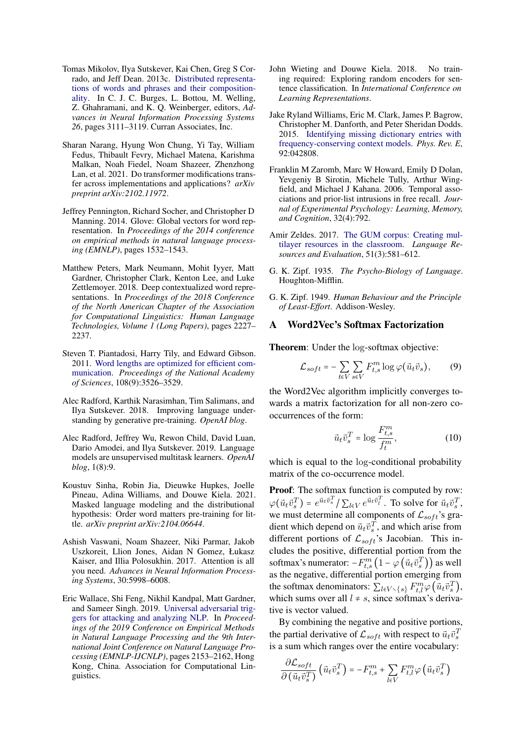- <span id="page-9-15"></span>Tomas Mikolov, Ilya Sutskever, Kai Chen, Greg S Corrado, and Jeff Dean. 2013c. [Distributed representa](http://papers.nips.cc/paper/5021-distributed-representations-of-words-and-phrases-and-their-compositionality.pdf)[tions of words and phrases and their composition](http://papers.nips.cc/paper/5021-distributed-representations-of-words-and-phrases-and-their-compositionality.pdf)[ality.](http://papers.nips.cc/paper/5021-distributed-representations-of-words-and-phrases-and-their-compositionality.pdf) In C. J. C. Burges, L. Bottou, M. Welling, Z. Ghahramani, and K. Q. Weinberger, editors, *Advances in Neural Information Processing Systems 26*, pages 3111–3119. Curran Associates, Inc.
- <span id="page-9-8"></span>Sharan Narang, Hyung Won Chung, Yi Tay, William Fedus, Thibault Fevry, Michael Matena, Karishma Malkan, Noah Fiedel, Noam Shazeer, Zhenzhong Lan, et al. 2021. Do transformer modifications transfer across implementations and applications? *arXiv preprint arXiv:2102.11972*.
- <span id="page-9-1"></span>Jeffrey Pennington, Richard Socher, and Christopher D Manning. 2014. Glove: Global vectors for word representation. In *Proceedings of the 2014 conference on empirical methods in natural language processing (EMNLP)*, pages 1532–1543.
- <span id="page-9-2"></span>Matthew Peters, Mark Neumann, Mohit Iyyer, Matt Gardner, Christopher Clark, Kenton Lee, and Luke Zettlemoyer. 2018. Deep contextualized word representations. In *Proceedings of the 2018 Conference of the North American Chapter of the Association for Computational Linguistics: Human Language Technologies, Volume 1 (Long Papers)*, pages 2227– 2237.
- <span id="page-9-11"></span>Steven T. Piantadosi, Harry Tily, and Edward Gibson. 2011. [Word lengths are optimized for efficient com](https://doi.org/10.1073/pnas.1012551108)[munication.](https://doi.org/10.1073/pnas.1012551108) *Proceedings of the National Academy of Sciences*, 108(9):3526–3529.
- <span id="page-9-3"></span>Alec Radford, Karthik Narasimhan, Tim Salimans, and Ilya Sutskever. 2018. Improving language understanding by generative pre-training. *OpenAI blog*.
- <span id="page-9-4"></span>Alec Radford, Jeffrey Wu, Rewon Child, David Luan, Dario Amodei, and Ilya Sutskever. 2019. Language models are unsupervised multitask learners. *OpenAI blog*, 1(8):9.
- <span id="page-9-6"></span>Koustuv Sinha, Robin Jia, Dieuwke Hupkes, Joelle Pineau, Adina Williams, and Douwe Kiela. 2021. Masked language modeling and the distributional hypothesis: Order word matters pre-training for little. *arXiv preprint arXiv:2104.06644*.
- <span id="page-9-5"></span>Ashish Vaswani, Noam Shazeer, Niki Parmar, Jakob Uszkoreit, Llion Jones, Aidan N Gomez, Łukasz Kaiser, and Illia Polosukhin. 2017. Attention is all you need. *Advances in Neural Information Processing Systems*, 30:5998–6008.
- <span id="page-9-0"></span>Eric Wallace, Shi Feng, Nikhil Kandpal, Matt Gardner, and Sameer Singh. 2019. [Universal adversarial trig](https://doi.org/10.18653/v1/D19-1221)[gers for attacking and analyzing NLP.](https://doi.org/10.18653/v1/D19-1221) In *Proceedings of the 2019 Conference on Empirical Methods in Natural Language Processing and the 9th International Joint Conference on Natural Language Processing (EMNLP-IJCNLP)*, pages 2153–2162, Hong Kong, China. Association for Computational Linguistics.
- <span id="page-9-7"></span>John Wieting and Douwe Kiela. 2018. No training required: Exploring random encoders for sentence classification. In *International Conference on Learning Representations*.
- <span id="page-9-12"></span>Jake Ryland Williams, Eric M. Clark, James P. Bagrow, Christopher M. Danforth, and Peter Sheridan Dodds. 2015. [Identifying missing dictionary entries with](https://doi.org/10.1103/PhysRevE.92.042808) [frequency-conserving context models.](https://doi.org/10.1103/PhysRevE.92.042808) *Phys. Rev. E*, 92:042808.
- <span id="page-9-13"></span>Franklin M Zaromb, Marc W Howard, Emily D Dolan, Yevgeniy B Sirotin, Michele Tully, Arthur Wingfield, and Michael J Kahana. 2006. Temporal associations and prior-list intrusions in free recall. *Journal of Experimental Psychology: Learning, Memory, and Cognition*, 32(4):792.
- <span id="page-9-14"></span>Amir Zeldes. 2017. [The GUM corpus: Creating mul](https://doi.org/http://dx.doi.org/10.1007/s10579-016-9343-x)[tilayer resources in the classroom.](https://doi.org/http://dx.doi.org/10.1007/s10579-016-9343-x) *Language Resources and Evaluation*, 51(3):581–612.
- <span id="page-9-9"></span>G. K. Zipf. 1935. *The Psycho-Biology of Language*. Houghton-Mifflin.
- <span id="page-9-10"></span>G. K. Zipf. 1949. *Human Behaviour and the Principle of Least-Effort*. Addison-Wesley.

#### <span id="page-9-16"></span>A Word2Vec's Softmax Factorization

Theorem: Under the log-softmax objective:

$$
\mathcal{L}_{soft} = -\sum_{t \in V} \sum_{s \in V} F_{t,s}^{m} \log \varphi(\vec{u}_t \vec{v}_s), \qquad (9)
$$

the Word2Vec algorithm implicitly converges towards a matrix factorization for all non-zero cooccurrences of the form:

<span id="page-9-17"></span>
$$
\vec{u}_t \vec{v}_s^T = \log \frac{F_{t,s}^m}{f_t^m},\tag{10}
$$

which is equal to the log-conditional probability matrix of the co-occurrence model.

Proof: The softmax function is computed by row:  $\varphi(\vec{u}_t \vec{v}_s^T) = e^{\vec{u}_t \vec{v}_s^T} / \sum_{l \in V} e^{\vec{u}_t \vec{v}_l^T}$ . To solve for  $\vec{u}_t \vec{v}_s^T$ , we must determine all components of  $\mathcal{L}_{soft}$ 's gradient which depend on  $\vec{u}_t \vec{v}_s^T$ , and which arise from different portions of  $\mathcal{L}_{soft}$ 's Jacobian. This includes the positive, differential portion from the softmax's numerator:  $-F_{t,s}^{m} (1 - \varphi(\vec{u}_t \vec{v}_s^T))$  as well as the negative, differential portion emerging from the softmax denominators:  $\sum_{l \in V \setminus \{s\}} F_{t,l}^m \varphi(\vec{u}_t \vec{v}_s^T),$ which sums over all  $l \neq s$ , since softmax's derivative is vector valued.

By combining the negative and positive portions, the partial derivative of  $\mathcal{L}_{soft}$  with respect to  $\vec{u}_t \vec{v}_s^T$ is a sum which ranges over the entire vocabulary:

$$
\frac{\partial \mathcal{L}_{soft}}{\partial \left(\vec{u}_{t} \vec{v}_{s}^{T}\right)} \left(\vec{u}_{t} \vec{v}_{s}^{T}\right) = -F_{t,s}^{m} + \sum_{l \in V} F_{t,l}^{m} \varphi\left(\vec{u}_{t} \vec{v}_{s}^{T}\right)
$$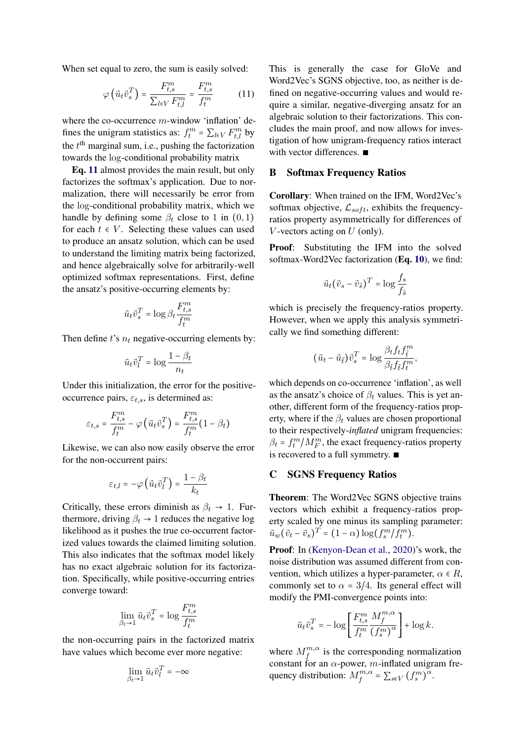When set equal to zero, the sum is easily solved:

$$
\varphi\left(\vec{u}_t\vec{v}_s^T\right) = \frac{F_{t,s}^m}{\sum_{l\in V} F_{t,l}^m} = \frac{F_{t,s}^m}{f_t^m} \tag{11}
$$

where the co-occurrence  $m$ -window 'inflation' defines the unigram statistics as:  $f_t^m = \sum_{l \in V} F_{t,l}^m$  by the  $t<sup>th</sup>$  marginal sum, i.e., pushing the factorization towards the log-conditional probability matrix

Eq. [11](#page-10-2) almost provides the main result, but only factorizes the softmax's application. Due to normalization, there will necessarily be error from the log-conditional probability matrix, which we handle by defining some  $\beta_t$  close to 1 in  $(0, 1)$ for each  $t \in V$ . Selecting these values can used to produce an ansatz solution, which can be used to understand the limiting matrix being factorized, and hence algebraically solve for arbitrarily-well optimized softmax representations. First, define the ansatz's positive-occurring elements by:

$$
\vec{u}_t \vec{v}_s^T = \log \beta_t \frac{F_{t,s}^m}{f_t^m}
$$

Then define  $t$ 's  $n_t$  negative-occurring elements by:

$$
\vec{u}_t \vec{v}_l^T = \log \frac{1 - \beta_t}{n_t}
$$

Under this initialization, the error for the positiveoccurrence pairs,  $\varepsilon_{t,s}$ , is determined as:

$$
\varepsilon_{t,s} = \frac{F_{t,s}^m}{f_t^m} - \varphi\left(\vec{u}_t \vec{v}_s^T\right) = \frac{F_{t,s}^m}{f_t^m} (1 - \beta_t)
$$

Likewise, we can also now easily observe the error for the non-occurrent pairs:

$$
\varepsilon_{t,l} = -\varphi\left(\vec{u}_t \vec{v}_l^T\right) = \frac{1-\beta_t}{k_t}
$$

Critically, these errors diminish as  $\beta_t \rightarrow 1$ . Furthermore, driving  $\beta_t \rightarrow 1$  reduces the negative log likelihood as it pushes the true co-occurrent factorized values towards the claimed limiting solution. This also indicates that the softmax model likely has no exact algebraic solution for its factorization. Specifically, while positive-occurring entries converge toward:

$$
\lim_{\beta_t \to 1} \vec{u}_t \vec{v}_s^T = \log \frac{F_{t,s}^m}{f_t^m}
$$

the non-occurring pairs in the factorized matrix have values which become ever more negative:

$$
\lim_{\beta_t\to 1}\vec{u}_t\vec{v}_l^T=-\infty
$$

<span id="page-10-2"></span>This is generally the case for GloVe and Word2Vec's SGNS objective, too, as neither is defined on negative-occurring values and would require a similar, negative-diverging ansatz for an algebraic solution to their factorizations. This concludes the main proof, and now allows for investigation of how unigram-frequency ratios interact with vector differences. ∎

## <span id="page-10-0"></span>B Softmax Frequency Ratios

Corollary: When trained on the IFM, Word2Vec's softmax objective,  $\mathcal{L}_{soft}$ , exhibits the frequencyratios property asymmetrically for differences of V-vectors acting on  $U$  (only).

Proof: Substituting the IFM into the solved softmax-Word2Vec factorization (Eq. [10](#page-9-17)), we find:

$$
\vec{u}_t(\vec{v}_s - \vec{v}_{\tilde{s}})^T = \log \frac{f_s}{f_{\tilde{s}}}
$$

which is precisely the frequency-ratios property. However, when we apply this analysis symmetrically we find something different:

$$
\big(\vec{u}_t-\vec{u}_{\hat{t}}\big)\vec{v}_s^T = \log \frac{\beta_t f_t f_{\tilde{t}}^m}{\beta_{\tilde{t}} f_{\tilde{t}} f_t^m},
$$

which depends on co-occurrence 'inflation', as well as the ansatz's choice of  $\beta_t$  values. This is yet another, different form of the frequency-ratios property, where if the  $\beta_t$  values are chosen proportional to their respectively-*inflated* unigram frequencies:  $\beta_t = f_t^m / M_F^m$ , the exact frequency-ratios property is recovered to a full symmetry. ∎

#### <span id="page-10-1"></span>C SGNS Frequency Ratios

Theorem: The Word2Vec SGNS objective trains vectors which exhibit a frequency-ratios property scaled by one minus its sampling parameter:  $\vec{u}_w(\vec{v}_t - \vec{v}_s)^T = (1 - \alpha) \log(f_s^m / f_t^m).$ 

Proof: In [\(Kenyon-Dean et al.,](#page-8-13) [2020\)](#page-8-13)'s work, the noise distribution was assumed different from convention, which utilizes a hyper-parameter,  $\alpha \in R$ , commonly set to  $\alpha = 3/4$ . Its general effect will modify the PMI-convergence points into:

$$
\vec{u}_t \vec{v}_s^T = -\log \left[ \frac{F_{t,s}^m}{f_t^m} \frac{M_f^{m,\alpha}}{\left(f_s^m\right)^\alpha} \right] + \log k.
$$

where  $M_f^{m,\alpha}$  is the corresponding normalization where  $m_f$  is the corresponding normanization<br>constant for an  $\alpha$ -power, m-inflated unigram frequency distribution:  $M_f^{m,\alpha} = \sum_{s \in V} (f_s^m)^{\alpha}$ .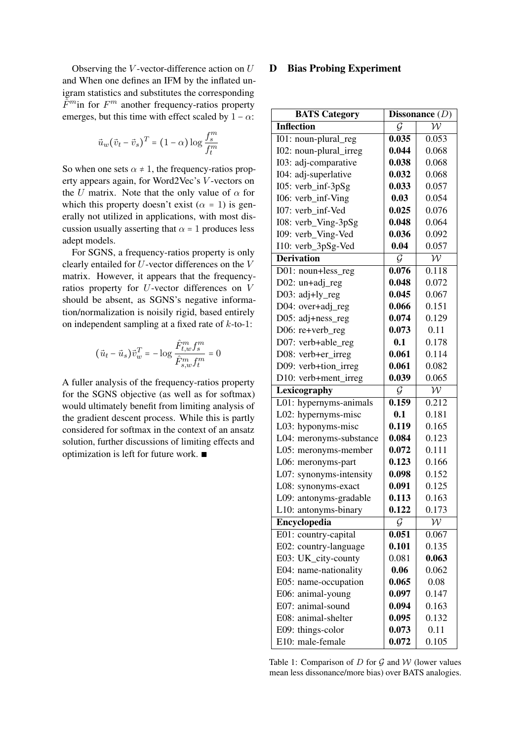Observing the  $V$ -vector-difference action on  $U$ and When one defines an IFM by the inflated unigram statistics and substitutes the corresponding  $\tilde{F}^m$ in for  $F^m$  another frequency-ratios property emerges, but this time with effect scaled by  $1 - \alpha$ :

$$
\vec{u}_w(\vec{v}_t - \vec{v}_s)^T = (1-\alpha)\log\frac{f_s^m}{f_t^m}
$$

So when one sets  $\alpha \neq 1$ , the frequency-ratios property appears again, for Word2Vec's V -vectors on the U matrix. Note that the only value of  $\alpha$  for which this property doesn't exist ( $\alpha = 1$ ) is generally not utilized in applications, with most discussion usually asserting that  $\alpha = 1$  produces less adept models.

For SGNS, a frequency-ratios property is only clearly entailed for U-vector differences on the V matrix. However, it appears that the frequencyratios property for U-vector differences on V should be absent, as SGNS's negative information/normalization is noisily rigid, based entirely on independent sampling at a fixed rate of  $k$ -to-1:

$$
(\vec{u}_t - \vec{u}_s)\vec{v}_{w}^T = -\log \frac{\hat{F}_{t,w}^m f_s^m}{\hat{F}_{s,w}^m f_t^m} = 0
$$

A fuller analysis of the frequency-ratios property for the SGNS objective (as well as for softmax) would ultimately benefit from limiting analysis of the gradient descent process. While this is partly considered for softmax in the context of an ansatz solution, further discussions of limiting effects and optimization is left for future work. ∎

### D Bias Probing Experiment

<span id="page-11-0"></span>

| <b>BATS Category</b>    | Dissonance $(D)$ |              |
|-------------------------|------------------|--------------|
| <b>Inflection</b>       | G                | $\mathcal W$ |
| I01: noun-plural_reg    | 0.035            | 0.053        |
| I02: noun-plural_irreg  | 0.044            | 0.068        |
| I03: adj-comparative    | 0.038            | 0.068        |
| I04: adj-superlative    | 0.032            | 0.068        |
| I05: verb_inf-3pSg      | 0.033            | 0.057        |
| I06: verb_inf-Ving      | 0.03             | 0.054        |
| I07: verb_inf-Ved       | 0.025            | 0.076        |
| I08: verb_Ving-3pSg     | 0.048            | 0.064        |
| I09: verb_Ving-Ved      | 0.036            | 0.092        |
| I10: verb_3pSg-Ved      | 0.04             | 0.057        |
| <b>Derivation</b>       | $\mathcal G$     | $\mathcal W$ |
| D01: noun+less_reg      | 0.076            | 0.118        |
| D02: $un+adj\_reg$      | 0.048            | 0.072        |
| D03: adj+ly_reg         | 0.045            | 0.067        |
| D04: over+adj_reg       | 0.066            | 0.151        |
| D05: adj+ness_reg       | 0.074            | 0.129        |
| D06: re+verb_reg        | 0.073            | 0.11         |
| D07: verb+able_reg      | 0.1              | 0.178        |
| D08: verb+er_irreg      | 0.061            | 0.114        |
| D09: verb+tion_irreg    | 0.061            | 0.082        |
| D10: verb+ment_irreg    | 0.039            | 0.065        |
| Lexicography            | $\mathcal G$     | $\mathcal W$ |
| L01: hypernyms-animals  | 0.159            | 0.212        |
| L02: hypernyms-misc     | 0.1              | 0.181        |
| L03: hyponyms-misc      | 0.119            | 0.165        |
| L04: meronyms-substance | 0.084            | 0.123        |
| L05: meronyms-member    | 0.072            | 0.111        |
| L06: meronyms-part      | 0.123            | 0.166        |
| L07: synonyms-intensity | 0.098            | 0.152        |
| L08: synonyms-exact     | 0.091            | 0.125        |
| L09: antonyms-gradable  | 0.113            | 0.163        |
| L10: antonyms-binary    | 0.122            | 0.173        |
| Encyclopedia            | $\mathcal G$     | $\mathcal W$ |
| E01: country-capital    | 0.051            | 0.067        |
| E02: country-language   | 0.101            | 0.135        |
| E03: UK_city-county     | 0.081            | 0.063        |
| E04: name-nationality   | 0.06             | 0.062        |
| E05: name-occupation    | 0.065            | 0.08         |
| E06: animal-young       | 0.097            | 0.147        |
| E07: animal-sound       | 0.094            | 0.163        |
| E08: animal-shelter     | 0.095            | 0.132        |
| E09: things-color       | 0.073            | 0.11         |
| E10: male-female        | 0.072            | 0.105        |

Table 1: Comparison of  $D$  for  $G$  and  $W$  (lower values mean less dissonance/more bias) over BATS analogies.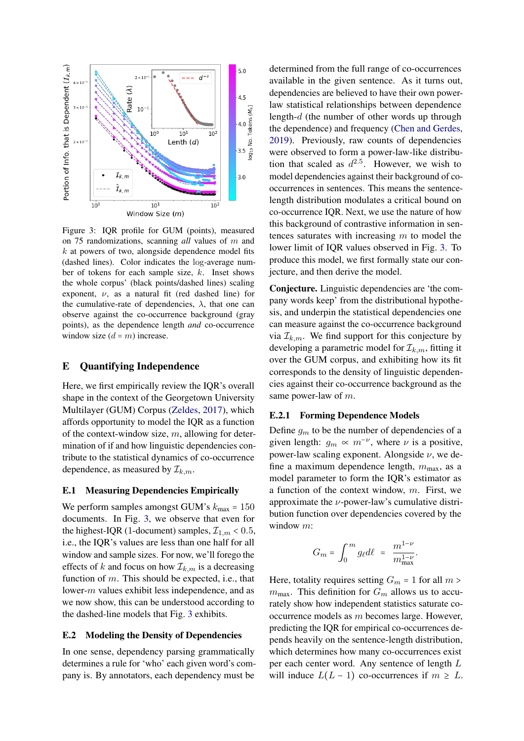<span id="page-12-1"></span>

Figure 3: IQR profile for GUM (points), measured on 75 randomizations, scanning *all* values of m and  $k$  at powers of two, alongside dependence model fits (dashed lines). Color indicates the log-average number of tokens for each sample size, k. Inset shows the whole corpus' (black points/dashed lines) scaling exponent,  $\nu$ , as a natural fit (red dashed line) for the cumulative-rate of dependencies,  $\lambda$ , that one can observe against the co-occurrence background (gray points), as the dependence length *and* co-occurrence window size  $(d = m)$  increase.

## <span id="page-12-2"></span>E Quantifying Independence

Here, we first empirically review the IQR's overall shape in the context of the Georgetown University Multilayer (GUM) Corpus [\(Zeldes,](#page-9-14) [2017\)](#page-9-14), which affords opportunity to model the IQR as a function of the context-window size,  $m$ , allowing for determination of if and how linguistic dependencies contribute to the statistical dynamics of co-occurrence dependence, as measured by  $\mathcal{I}_{k,m}$ .

### E.1 Measuring Dependencies Empirically

We perform samples amongst GUM's  $k_{\text{max}} = 150$ documents. In Fig. [3,](#page-12-1) we observe that even for the highest-IQR (1-document) samples,  $\mathcal{I}_{1,m} < 0.5$ , i.e., the IQR's values are less than one half for all window and sample sizes. For now, we'll forego the effects of k and focus on how  $\mathcal{I}_{k,m}$  is a decreasing function of m. This should be expected, i.e., that lower-m values exhibit less independence, and as we now show, this can be understood according to the dashed-line models that Fig. [3](#page-12-1) exhibits.

## <span id="page-12-0"></span>E.2 Modeling the Density of Dependencies

In one sense, dependency parsing grammatically determines a rule for 'who' each given word's company is. By annotators, each dependency must be

determined from the full range of co-occurrences available in the given sentence. As it turns out, dependencies are believed to have their own powerlaw statistical relationships between dependence length-d (the number of other words up through the dependence) and frequency [\(Chen and Gerdes,](#page-8-19) [2019\)](#page-8-19). Previously, raw counts of dependencies were observed to form a power-law-like distribution that scaled as  $d^{2.5}$ . However, we wish to model dependencies against their background of cooccurrences in sentences. This means the sentencelength distribution modulates a critical bound on co-occurrence IQR. Next, we use the nature of how this background of contrastive information in sentences saturates with increasing  $m$  to model the lower limit of IQR values observed in Fig. [3.](#page-12-1) To produce this model, we first formally state our conjecture, and then derive the model.

Conjecture. Linguistic dependencies are 'the company words keep' from the distributional hypothesis, and underpin the statistical dependencies one can measure against the co-occurrence background via  $\mathcal{I}_{k,m}$ . We find support for this conjecture by developing a parametric model for  $\mathcal{I}_{k,m}$ , fitting it over the GUM corpus, and exhibiting how its fit corresponds to the density of linguistic dependencies against their co-occurrence background as the same power-law of m.

#### E.2.1 Forming Dependence Models

Define  $q_m$  to be the number of dependencies of a given length:  $g_m \propto m^{-\nu}$ , where  $\nu$  is a positive, power-law scaling exponent. Alongside  $\nu$ , we define a maximum dependence length,  $m_{\text{max}}$ , as a model parameter to form the IQR's estimator as a function of the context window, m. First, we approximate the  $\nu$ -power-law's cumulative distribution function over dependencies covered by the window m:

$$
G_m = \int_0^m g_\ell d\ell = \frac{m^{1-\nu}}{m_{\max}^{1-\nu}}
$$

.

Here, totality requires setting  $G_m = 1$  for all  $m >$  $m_{\text{max}}$ . This definition for  $G_m$  allows us to accurately show how independent statistics saturate cooccurrence models as m becomes large. However, predicting the IQR for empirical co-occurrences depends heavily on the sentence-length distribution, which determines how many co-occurrences exist per each center word. Any sentence of length L will induce  $L(L-1)$  co-occurrences if  $m \geq L$ .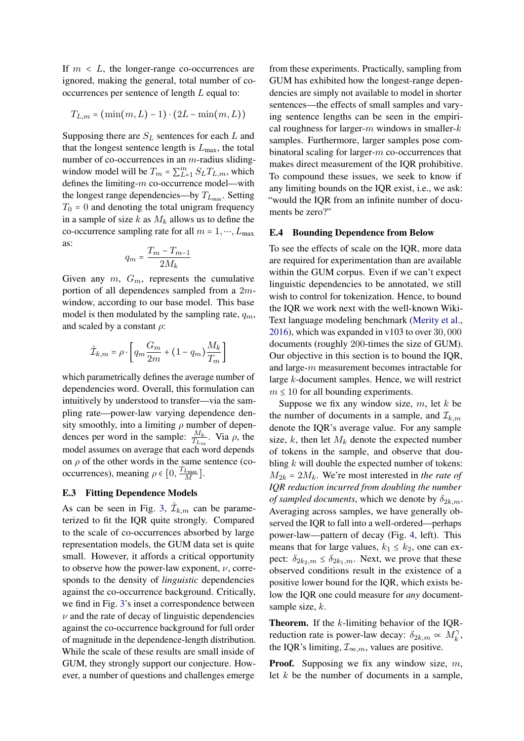If  $m < L$ , the longer-range co-occurrences are ignored, making the general, total number of cooccurrences per sentence of length  $L$  equal to:

$$
T_{L,m} = (\min(m,L)-1) \cdot (2L - \min(m,L))
$$

Supposing there are  $S_L$  sentences for each  $L$  and that the longest sentence length is  $L_{\text{max}}$ , the total number of co-occurrences in an m-radius slidingwindow model will be  $T_m = \sum_{L=1}^m S_L T_{L,m}$ , which defines the limiting-m co-occurrence model—with the longest range dependencies—by  $T_{L_{\text{max}}}$ . Setting  $T_0$  = 0 and denoting the total unigram frequency in a sample of size k as  $M_k$  allows us to define the co-occurrence sampling rate for all  $m = 1, ..., L_{\text{max}}$ as:

$$
q_m = \frac{T_m - T_{m-1}}{2M_k}
$$

Given any  $m$ ,  $G_m$ , represents the cumulative portion of all dependences sampled from a 2mwindow, according to our base model. This base model is then modulated by the sampling rate,  $q_m$ , and scaled by a constant  $\rho$ :

$$
\hat{\mathcal{I}}_{k,m} = \rho \cdot \left[ q_m \frac{G_m}{2m} + (1 - q_m) \frac{M_k}{T_m} \right]
$$

which parametrically defines the average number of dependencies word. Overall, this formulation can intuitively by understood to transfer—via the sampling rate—power-law varying dependence density smoothly, into a limiting  $\rho$  number of dependences per word in the sample:  $\frac{M_k}{T_{L_m}}$ . Via  $\rho$ , the model assumes on average that each word depends on  $\rho$  of the other words in the same sentence (cooccurrences), meaning  $\rho \in [0, \frac{T_{L_{\text{max}}}}{M}].$ 

## E.3 Fitting Dependence Models

As can be seen in Fig. [3,](#page-12-1)  $\hat{\mathcal{I}}_{k,m}$  can be parameterized to fit the IQR quite strongly. Compared to the scale of co-occurrences absorbed by large representation models, the GUM data set is quite small. However, it affords a critical opportunity to observe how the power-law exponent,  $\nu$ , corresponds to the density of *linguistic* dependencies against the co-occurrence background. Critically, we find in Fig. [3'](#page-12-1)s inset a correspondence between  $\nu$  and the rate of decay of linguistic dependencies against the co-occurrence background for full order of magnitude in the dependence-length distribution. While the scale of these results are small inside of GUM, they strongly support our conjecture. However, a number of questions and challenges emerge

from these experiments. Practically, sampling from GUM has exhibited how the longest-range dependencies are simply not available to model in shorter sentences—the effects of small samples and varying sentence lengths can be seen in the empirical roughness for larger- $m$  windows in smaller- $k$ samples. Furthermore, larger samples pose combinatoral scaling for larger-m co-occurrences that makes direct measurement of the IQR prohibitive. To compound these issues, we seek to know if any limiting bounds on the IQR exist, i.e., we ask: "would the IQR from an infinite number of documents be zero?"

#### <span id="page-13-0"></span>E.4 Bounding Dependence from Below

To see the effects of scale on the IQR, more data are required for experimentation than are available within the GUM corpus. Even if we can't expect linguistic dependencies to be annotated, we still wish to control for tokenization. Hence, to bound the IQR we work next with the well-known Wiki-Text language modeling benchmark [\(Merity et al.,](#page-8-20) [2016\)](#page-8-20), which was expanded in v103 to over 30, 000 documents (roughly 200-times the size of GUM). Our objective in this section is to bound the IQR, and large-m measurement becomes intractable for large k-document samples. Hence, we will restrict  $m \leq 10$  for all bounding experiments.

Suppose we fix any window size,  $m$ , let  $k$  be the number of documents in a sample, and  $\mathcal{I}_{k,m}$ denote the IQR's average value. For any sample size, k, then let  $M_k$  denote the expected number of tokens in the sample, and observe that doubling  $k$  will double the expected number of tokens:  $M_{2k} = 2M_k$ . We're most interested in *the rate of IQR reduction incurred from doubling the number of sampled documents*, which we denote by  $\delta_{2k,m}$ . Averaging across samples, we have generally observed the IQR to fall into a well-ordered—perhaps power-law—pattern of decay (Fig. [4,](#page-14-0) left). This means that for large values,  $k_1 \leq k_2$ , one can expect:  $\delta_{2k_2,m} \leq \delta_{2k_1,m}$ . Next, we prove that these observed conditions result in the existence of a positive lower bound for the IQR, which exists below the IQR one could measure for *any* documentsample size, k.

Theorem. If the k-limiting behavior of the IQRreduction rate is power-law decay:  $\delta_{2k,m} \propto M_k^{\gamma}$ , the IQR's limiting,  $\mathcal{I}_{\infty,m}$ , values are positive.

**Proof.** Supposing we fix any window size,  $m$ , let  $k$  be the number of documents in a sample,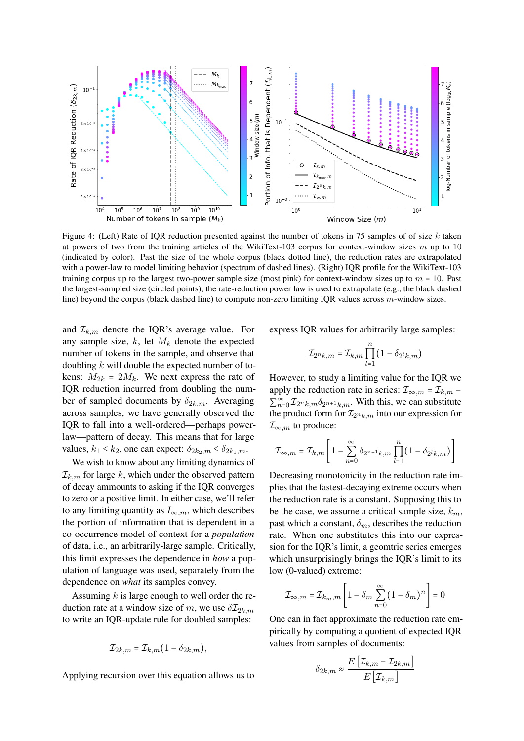<span id="page-14-0"></span>

Figure 4: (Left) Rate of IQR reduction presented against the number of tokens in 75 samples of of size  $k$  taken at powers of two from the training articles of the WikiText-103 corpus for context-window sizes m up to 10 (indicated by color). Past the size of the whole corpus (black dotted line), the reduction rates are extrapolated with a power-law to model limiting behavior (spectrum of dashed lines). (Right) IQR profile for the WikiText-103 training corpus up to the largest two-power sample size (most pink) for context-window sizes up to  $m = 10$ . Past the largest-sampled size (circled points), the rate-reduction power law is used to extrapolate (e.g., the black dashed line) beyond the corpus (black dashed line) to compute non-zero limiting IQR values across m-window sizes.

and  $\mathcal{I}_{k,m}$  denote the IQR's average value. For any sample size,  $k$ , let  $M_k$  denote the expected number of tokens in the sample, and observe that doubling  $k$  will double the expected number of tokens:  $M_{2k} = 2M_k$ . We next express the rate of IQR reduction incurred from doubling the number of sampled documents by  $\delta_{2k,m}$ . Averaging across samples, we have generally observed the IQR to fall into a well-ordered—perhaps powerlaw—pattern of decay. This means that for large values,  $k_1 \leq k_2$ , one can expect:  $\delta_{2k_2,m} \leq \delta_{2k_1,m}$ .

We wish to know about any limiting dynamics of  $\mathcal{I}_{k,m}$  for large k, which under the observed pattern of decay ammounts to asking if the IQR converges to zero or a positive limit. In either case, we'll refer to any limiting quantity as  $I_{\infty,m}$ , which describes the portion of information that is dependent in a co-occurrence model of context for a *population* of data, i.e., an arbitrarily-large sample. Critically, this limit expresses the dependence in *how* a population of language was used, separately from the dependence on *what* its samples convey.

Assuming  $k$  is large enough to well order the reduction rate at a window size of m, we use  $\delta \mathcal{I}_{2k,m}$ to write an IQR-update rule for doubled samples:

$$
\mathcal{I}_{2k,m} = \mathcal{I}_{k,m} (1 - \delta_{2k,m}),
$$

Applying recursion over this equation allows us to

express IQR values for arbitrarily large samples:

$$
\mathcal{I}_{2nk,m} = \mathcal{I}_{k,m} \prod_{l=1}^{n} (1 - \delta_{2^lk,m})
$$

However, to study a limiting value for the IQR we apply the reduction rate in series:  $\mathcal{I}_{\infty,m} = \mathcal{I}_{k,m}$  –  $\sum_{n=0}^{\infty} \mathcal{I}_{2^n k, m} \delta_{2^{n+1} k, m}$ . With this, we can substitute the product form for  $\mathcal{I}_{2^n k,m}$  into our expression for  $\mathcal{I}_{\infty,m}$  to produce:

$$
\mathcal{I}_{\infty,m} = \mathcal{I}_{k,m} \left[ 1 - \sum_{n=0}^{\infty} \delta_{2^{n+1}k,m} \prod_{l=1}^{n} (1 - \delta_{2^l k,m}) \right]
$$

Decreasing monotonicity in the reduction rate implies that the fastest-decaying extreme occurs when the reduction rate is a constant. Supposing this to be the case, we assume a critical sample size,  $k_m$ , past which a constant,  $\delta_m$ , describes the reduction rate. When one substitutes this into our expression for the IQR's limit, a geomtric series emerges which unsurprisingly brings the IQR's limit to its low (0-valued) extreme:

$$
\mathcal{I}_{\infty,m} = \mathcal{I}_{k_m,m} \left[ 1 - \delta_m \sum_{n=0}^{\infty} (1 - \delta_m)^n \right] = 0
$$

One can in fact approximate the reduction rate empirically by computing a quotient of expected IQR values from samples of documents:

$$
\delta_{2k,m} \approx \frac{E\left[\mathcal{I}_{k,m} - \mathcal{I}_{2k,m}\right]}{E\left[\mathcal{I}_{k,m}\right]}
$$